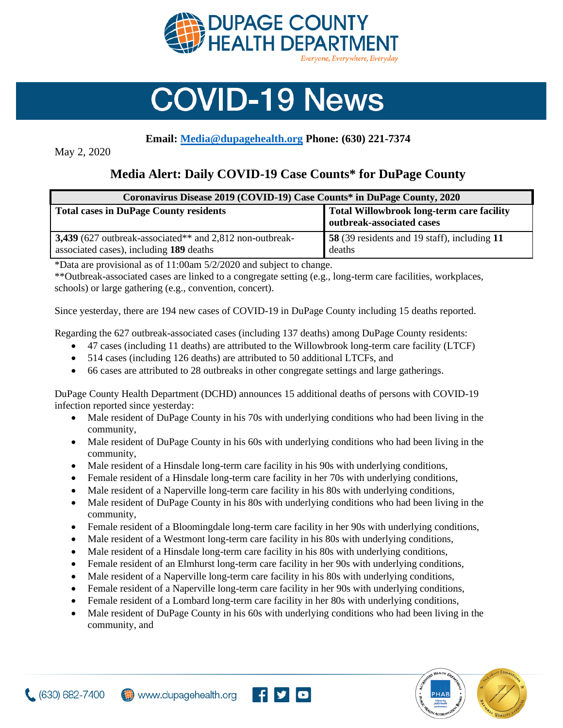

## **COVID-19 News**

## **Email: [Media@dupagehealth.org](mailto:Media@dupagehealth.org) Phone: (630) 221-7374**

May 2, 2020

## **Media Alert: Daily COVID-19 Case Counts\* for DuPage County**

| Coronavirus Disease 2019 (COVID-19) Case Counts* in DuPage County, 2020                             |                                                                        |
|-----------------------------------------------------------------------------------------------------|------------------------------------------------------------------------|
| <b>Total cases in DuPage County residents</b>                                                       | Total Willowbrook long-term care facility<br>outbreak-associated cases |
| 3,439 (627 outbreak-associated** and 2,812 non-outbreak-<br>associated cases), including 189 deaths | 58 (39 residents and 19 staff), including 11<br>deaths                 |

\*Data are provisional as of 11:00am 5/2/2020 and subject to change.

\*\*Outbreak-associated cases are linked to a congregate setting (e.g., long-term care facilities, workplaces, schools) or large gathering (e.g., convention, concert).

Since yesterday, there are 194 new cases of COVID-19 in DuPage County including 15 deaths reported.

Regarding the 627 outbreak-associated cases (including 137 deaths) among DuPage County residents:

- 47 cases (including 11 deaths) are attributed to the Willowbrook long-term care facility (LTCF)
- 514 cases (including 126 deaths) are attributed to 50 additional LTCFs, and
- 66 cases are attributed to 28 outbreaks in other congregate settings and large gatherings.

DuPage County Health Department (DCHD) announces 15 additional deaths of persons with COVID-19 infection reported since yesterday:

- Male resident of DuPage County in his 70s with underlying conditions who had been living in the community,
- Male resident of DuPage County in his 60s with underlying conditions who had been living in the community,
- Male resident of a Hinsdale long-term care facility in his 90s with underlying conditions,
- Female resident of a Hinsdale long-term care facility in her 70s with underlying conditions,
- Male resident of a Naperville long-term care facility in his 80s with underlying conditions,
- Male resident of DuPage County in his 80s with underlying conditions who had been living in the community,
- Female resident of a Bloomingdale long-term care facility in her 90s with underlying conditions,
- Male resident of a Westmont long-term care facility in his 80s with underlying conditions,
- Male resident of a Hinsdale long-term care facility in his 80s with underlying conditions,
- Female resident of an Elmhurst long-term care facility in her 90s with underlying conditions,
- Male resident of a Naperville long-term care facility in his 80s with underlying conditions,
- Female resident of a Naperville long-term care facility in her 90s with underlying conditions,
- Female resident of a Lombard long-term care facility in her 80s with underlying conditions,
- Male resident of DuPage County in his 60s with underlying conditions who had been living in the community, and